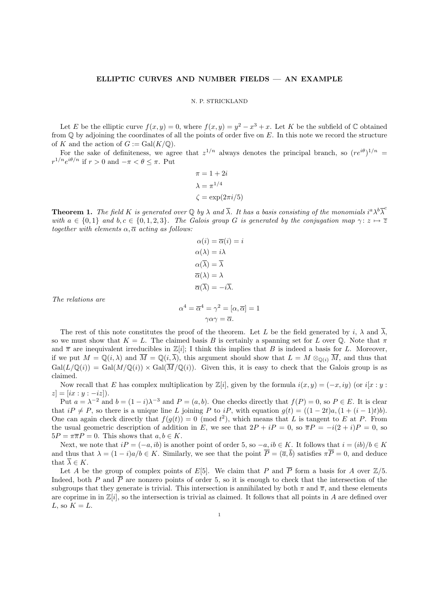## ELLIPTIC CURVES AND NUMBER FIELDS — AN EXAMPLE

## N. P. STRICKLAND

Let E be the elliptic curve  $f(x, y) = 0$ , where  $f(x, y) = y^2 - x^3 + x$ . Let K be the subfield of C obtained from Q by adjoining the coordinates of all the points of order five on E. In this note we record the structure of K and the action of  $G := \text{Gal}(K/\mathbb{Q})$ .

For the sake of definiteness, we agree that  $z^{1/n}$  always denotes the principal branch, so  $(re^{i\theta})^{1/n}$  =  $r^{1/n}e^{i\theta/n}$  if  $r>0$  and  $-\pi<\theta\leq\pi$ . Put

$$
\pi = 1 + 2i
$$

$$
\lambda = \pi^{1/4}
$$

$$
\zeta = \exp(2\pi i/5)
$$

**Theorem 1.** The field K is generated over Q by  $\lambda$  and  $\overline{\lambda}$ . It has a basis consisting of the monomials  $i^a \lambda^b \overline{\lambda}^c$ with  $a \in \{0,1\}$  and  $b, c \in \{0,1,2,3\}$ . The Galois group G is generated by the conjugation map  $\gamma: z \mapsto \overline{z}$ together with elements  $\alpha, \overline{\alpha}$  acting as follows:

$$
\alpha(i) = \overline{\alpha}(i) = i
$$

$$
\alpha(\lambda) = i\lambda
$$

$$
\alpha(\overline{\lambda}) = \overline{\lambda}
$$

$$
\overline{\alpha}(\lambda) = \lambda
$$

$$
\overline{\alpha}(\overline{\lambda}) = -i\overline{\lambda}.
$$

The relations are

$$
\alpha^4 = \overline{\alpha}^4 = \gamma^2 = [\alpha, \overline{\alpha}] = 1
$$

$$
\gamma \alpha \gamma = \overline{\alpha}.
$$

The rest of this note constitutes the proof of the theorem. Let L be the field generated by i,  $\lambda$  and  $\overline{\lambda}$ , so we must show that  $K = L$ . The claimed basis B is certainly a spanning set for L over  $\mathbb{Q}$ . Note that  $\pi$ and  $\bar{\pi}$  are inequivalent irreducibles in  $\mathbb{Z}[i]$ ; I think this implies that B is indeed a basis for L. Moreover, if we put  $M = \mathbb{Q}(i, \lambda)$  and  $\overline{M} = \mathbb{Q}(i, \overline{\lambda})$ , this argument should show that  $L = M \otimes_{\mathbb{Q}(i)} \overline{M}$ , and thus that  $Gal(L/\mathbb{Q}(i)) = Gal(M/\mathbb{Q}(i)) \times Gal(\overline{M}/\mathbb{Q}(i)).$  Given this, it is easy to check that the Galois group is as claimed.

Now recall that E has complex multiplication by Z[i], given by the formula  $i(x, y) = (-x, iy)$  (or  $i[x : y : y]$ )  $|z| = [ix : y : -iz].$ 

Put  $a = \lambda^{-2}$  and  $b = (1 - i)\lambda^{-3}$  and  $P = (a, b)$ . One checks directly that  $f(P) = 0$ , so  $P \in E$ . It is clear that  $iP \neq P$ , so there is a unique line L joining P to iP, with equation  $q(t) = ((1 - 2t)a, (1 + (i - 1)t)b)$ . One can again check directly that  $f(g(t)) = 0 \pmod{t^2}$ , which means that L is tangent to E at P. From the usual geometric description of addition in E, we see that  $2P + iP = 0$ , so  $\overline{\pi}P = -i(2 + i)P = 0$ , so  $5P = \pi \overline{\pi}P = 0$ . This shows that  $a, b \in K$ .

Next, we note that  $iP = (-a, ib)$  is another point of order 5, so  $-a, ib \in K$ . It follows that  $i = (ib)/b \in K$ and thus that  $\lambda = (1 - i)a/b \in K$ . Similarly, we see that the point  $\overline{P} = (\overline{a}, \overline{b})$  satisfies  $\pi \overline{P} = 0$ , and deduce that  $\overline{\lambda} \in K$ .

Let A be the group of complex points of E[5]. We claim that P and  $\overline{P}$  form a basis for A over  $\mathbb{Z}/5$ . Indeed, both P and  $\overline{P}$  are nonzero points of order 5, so it is enough to check that the intersection of the subgroups that they generate is trivial. This intersection is annihilated by both  $\pi$  and  $\overline{\pi}$ , and these elements are coprime in in  $\mathbb{Z}[i]$ , so the intersection is trivial as claimed. It follows that all points in A are defined over L, so  $K = L$ .